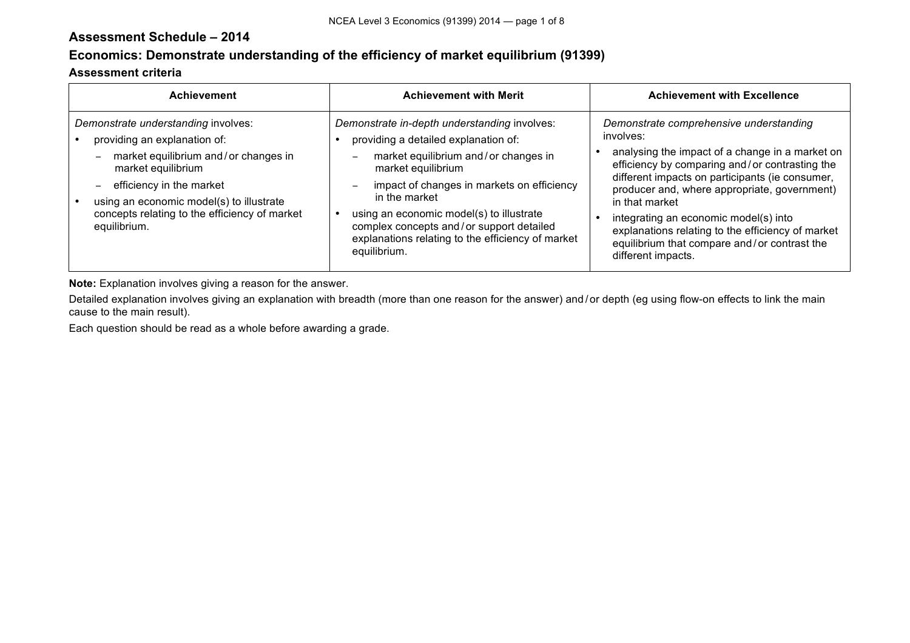# **Assessment Schedule – 2014**

# **Economics: Demonstrate understanding of the efficiency of market equilibrium (91399)**

#### **Assessment criteria**

| <b>Achievement</b>                                                                                                                                                                                                                                                         | <b>Achievement with Merit</b>                                                                                                                                                                                                                                                                                                                                                                                                 | <b>Achievement with Excellence</b>                                                                                                                                                                                                                                                                                                                                                                                                                 |
|----------------------------------------------------------------------------------------------------------------------------------------------------------------------------------------------------------------------------------------------------------------------------|-------------------------------------------------------------------------------------------------------------------------------------------------------------------------------------------------------------------------------------------------------------------------------------------------------------------------------------------------------------------------------------------------------------------------------|----------------------------------------------------------------------------------------------------------------------------------------------------------------------------------------------------------------------------------------------------------------------------------------------------------------------------------------------------------------------------------------------------------------------------------------------------|
| Demonstrate understanding involves:<br>providing an explanation of:<br>market equilibrium and/or changes in<br>market equilibrium<br>efficiency in the market<br>using an economic model(s) to illustrate<br>concepts relating to the efficiency of market<br>equilibrium. | Demonstrate in-depth understanding involves:<br>providing a detailed explanation of:<br>market equilibrium and/or changes in<br>$\qquad \qquad$<br>market equilibrium<br>impact of changes in markets on efficiency<br>$\overline{\phantom{m}}$<br>in the market<br>using an economic model(s) to illustrate<br>complex concepts and/or support detailed<br>explanations relating to the efficiency of market<br>equilibrium. | Demonstrate comprehensive understanding<br>involves:<br>analysing the impact of a change in a market on<br>efficiency by comparing and/or contrasting the<br>different impacts on participants (ie consumer,<br>producer and, where appropriate, government)<br>in that market<br>integrating an economic model(s) into<br>explanations relating to the efficiency of market<br>equilibrium that compare and/or contrast the<br>different impacts. |

**Note:** Explanation involves giving a reason for the answer.

Detailed explanation involves giving an explanation with breadth (more than one reason for the answer) and/or depth (eg using flow-on effects to link the main cause to the main result).

Each question should be read as a whole before awarding a grade.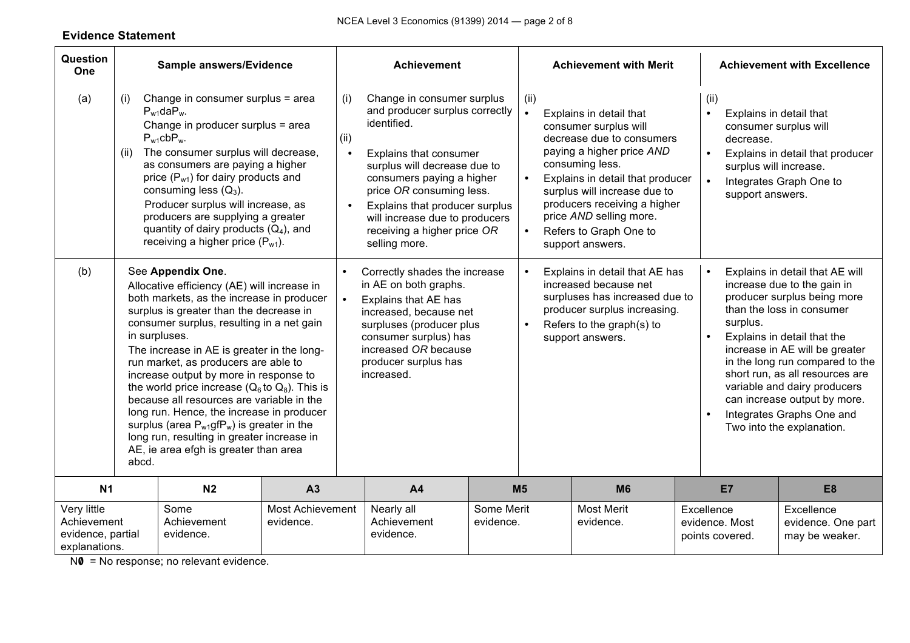# **Evidence Statement**

| Question<br>One                                                  |                                                                                                                                                                                                                                                                                                                                                                                                                                                                                                                                                                                                                                                                                                                                                                                                                                                                                                                          | Sample answers/Evidence                                                                                                                                                                                                                                                                                                                                                                                                              |                               |                                                                                                                                                                                                                                                                                                                                   | <b>Achievement</b>                                                                                                                                                         |                         |                                                                                                                                                                                                                                                                                                                                              | <b>Achievement with Merit</b>                                                                                                                                                                                                                                                                                                                                                               |  |                                                                                                                                                                                    | <b>Achievement with Excellence</b>                 |  |
|------------------------------------------------------------------|--------------------------------------------------------------------------------------------------------------------------------------------------------------------------------------------------------------------------------------------------------------------------------------------------------------------------------------------------------------------------------------------------------------------------------------------------------------------------------------------------------------------------------------------------------------------------------------------------------------------------------------------------------------------------------------------------------------------------------------------------------------------------------------------------------------------------------------------------------------------------------------------------------------------------|--------------------------------------------------------------------------------------------------------------------------------------------------------------------------------------------------------------------------------------------------------------------------------------------------------------------------------------------------------------------------------------------------------------------------------------|-------------------------------|-----------------------------------------------------------------------------------------------------------------------------------------------------------------------------------------------------------------------------------------------------------------------------------------------------------------------------------|----------------------------------------------------------------------------------------------------------------------------------------------------------------------------|-------------------------|----------------------------------------------------------------------------------------------------------------------------------------------------------------------------------------------------------------------------------------------------------------------------------------------------------------------------------------------|---------------------------------------------------------------------------------------------------------------------------------------------------------------------------------------------------------------------------------------------------------------------------------------------------------------------------------------------------------------------------------------------|--|------------------------------------------------------------------------------------------------------------------------------------------------------------------------------------|----------------------------------------------------|--|
| (a)                                                              | (i)<br>(ii)                                                                                                                                                                                                                                                                                                                                                                                                                                                                                                                                                                                                                                                                                                                                                                                                                                                                                                              | Change in consumer surplus = area<br>$P_{w1}$ da $P_{w1}$<br>Change in producer surplus = area<br>$P_{w1}cbP_{w1}$<br>The consumer surplus will decrease,<br>as consumers are paying a higher<br>price $(P_{w1})$ for dairy products and<br>consuming less $(Q_3)$ .<br>Producer surplus will increase, as<br>producers are supplying a greater<br>quantity of dairy products $(Q_4)$ , and<br>receiving a higher price $(P_{w1})$ . |                               | Change in consumer surplus<br>(i)<br>and producer surplus correctly<br>identified.<br>(ii)<br>Explains that consumer<br>surplus will decrease due to<br>consumers paying a higher<br>price OR consuming less.<br>Explains that producer surplus<br>will increase due to producers<br>receiving a higher price OR<br>selling more. |                                                                                                                                                                            |                         | (ii)<br>Explains in detail that<br>consumer surplus will<br>decrease due to consumers<br>paying a higher price AND<br>consuming less.<br>Explains in detail that producer<br>$\bullet$<br>surplus will increase due to<br>producers receiving a higher<br>price AND selling more.<br>Refers to Graph One to<br>$\bullet$<br>support answers. |                                                                                                                                                                                                                                                                                                                                                                                             |  | (ii)<br>Explains in detail that<br>consumer surplus will<br>decrease.<br>Explains in detail that producer<br>surplus will increase.<br>Integrates Graph One to<br>support answers. |                                                    |  |
| (b)                                                              | See Appendix One.<br>Correctly shades the increase<br>$\bullet$<br>in AE on both graphs.<br>Allocative efficiency (AE) will increase in<br>both markets, as the increase in producer<br>$\bullet$<br>Explains that AE has<br>surplus is greater than the decrease in<br>increased, because net<br>consumer surplus, resulting in a net gain<br>surpluses (producer plus<br>in surpluses.<br>consumer surplus) has<br>increased OR because<br>The increase in AE is greater in the long-<br>producer surplus has<br>run market, as producers are able to<br>increased.<br>increase output by more in response to<br>the world price increase ( $Q_6$ to $Q_8$ ). This is<br>because all resources are variable in the<br>long run. Hence, the increase in producer<br>surplus (area $P_{w1}$ gf $P_w$ ) is greater in the<br>long run, resulting in greater increase in<br>AE, ie area efgh is greater than area<br>abcd. |                                                                                                                                                                                                                                                                                                                                                                                                                                      |                               | $\bullet$                                                                                                                                                                                                                                                                                                                         | Explains in detail that AE has<br>increased because net<br>surpluses has increased due to<br>producer surplus increasing.<br>Refers to the graph(s) to<br>support answers. |                         | surplus.                                                                                                                                                                                                                                                                                                                                     | Explains in detail that AE will<br>increase due to the gain in<br>producer surplus being more<br>than the loss in consumer<br>Explains in detail that the<br>increase in AE will be greater<br>in the long run compared to the<br>short run, as all resources are<br>variable and dairy producers<br>can increase output by more.<br>Integrates Graphs One and<br>Two into the explanation. |  |                                                                                                                                                                                    |                                                    |  |
| N <sub>1</sub>                                                   |                                                                                                                                                                                                                                                                                                                                                                                                                                                                                                                                                                                                                                                                                                                                                                                                                                                                                                                          | N <sub>2</sub>                                                                                                                                                                                                                                                                                                                                                                                                                       | A3                            |                                                                                                                                                                                                                                                                                                                                   | A <sub>4</sub>                                                                                                                                                             |                         | M <sub>5</sub>                                                                                                                                                                                                                                                                                                                               | <b>M6</b>                                                                                                                                                                                                                                                                                                                                                                                   |  | E7                                                                                                                                                                                 | E <sub>8</sub>                                     |  |
| Very little<br>Achievement<br>evidence, partial<br>explanations. |                                                                                                                                                                                                                                                                                                                                                                                                                                                                                                                                                                                                                                                                                                                                                                                                                                                                                                                          | Some<br>Achievement<br>evidence.                                                                                                                                                                                                                                                                                                                                                                                                     | Most Achievement<br>evidence. |                                                                                                                                                                                                                                                                                                                                   | Nearly all<br>Achievement<br>evidence.                                                                                                                                     | Some Merit<br>evidence. |                                                                                                                                                                                                                                                                                                                                              | <b>Most Merit</b><br>evidence.                                                                                                                                                                                                                                                                                                                                                              |  | Excellence<br>evidence. Most<br>points covered.                                                                                                                                    | Excellence<br>evidence. One part<br>may be weaker. |  |

NO = No response; no relevant evidence.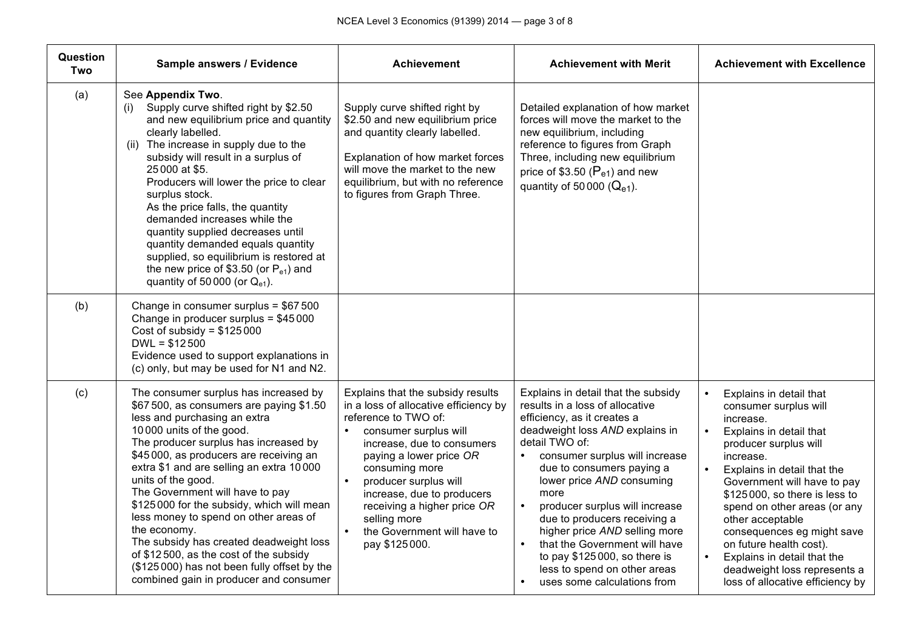| Question<br>Two | Sample answers / Evidence                                                                                                                                                                                                                                                                                                                                                                                                                                                                                                                                                                                                  | <b>Achievement</b>                                                                                                                                                                                                                                                                                                                                                                                  | <b>Achievement with Merit</b>                                                                                                                                                                                                                                                                                                                                                                                                                                                                     | <b>Achievement with Excellence</b>                                                                                                                                                                                                                                                                                                                                                                                                                                      |
|-----------------|----------------------------------------------------------------------------------------------------------------------------------------------------------------------------------------------------------------------------------------------------------------------------------------------------------------------------------------------------------------------------------------------------------------------------------------------------------------------------------------------------------------------------------------------------------------------------------------------------------------------------|-----------------------------------------------------------------------------------------------------------------------------------------------------------------------------------------------------------------------------------------------------------------------------------------------------------------------------------------------------------------------------------------------------|---------------------------------------------------------------------------------------------------------------------------------------------------------------------------------------------------------------------------------------------------------------------------------------------------------------------------------------------------------------------------------------------------------------------------------------------------------------------------------------------------|-------------------------------------------------------------------------------------------------------------------------------------------------------------------------------------------------------------------------------------------------------------------------------------------------------------------------------------------------------------------------------------------------------------------------------------------------------------------------|
| (a)             | See Appendix Two.<br>Supply curve shifted right by \$2.50<br>(i)<br>and new equilibrium price and quantity<br>clearly labelled.<br>(ii) The increase in supply due to the<br>subsidy will result in a surplus of<br>25000 at \$5.<br>Producers will lower the price to clear<br>surplus stock.<br>As the price falls, the quantity<br>demanded increases while the<br>quantity supplied decreases until<br>quantity demanded equals quantity<br>supplied, so equilibrium is restored at<br>the new price of \$3.50 (or $P_{e1}$ ) and<br>quantity of 50000 (or $Q_{e1}$ ).                                                 | Supply curve shifted right by<br>\$2.50 and new equilibrium price<br>and quantity clearly labelled.<br>Explanation of how market forces<br>will move the market to the new<br>equilibrium, but with no reference<br>to figures from Graph Three.                                                                                                                                                    | Detailed explanation of how market<br>forces will move the market to the<br>new equilibrium, including<br>reference to figures from Graph<br>Three, including new equilibrium<br>price of \$3.50 ( $P_{e1}$ ) and new<br>quantity of 50 000 $(Q_{e1})$ .                                                                                                                                                                                                                                          |                                                                                                                                                                                                                                                                                                                                                                                                                                                                         |
| (b)             | Change in consumer surplus = \$67 500<br>Change in producer surplus = \$45000<br>Cost of subsidy = $$125000$<br>$DWL = $12500$<br>Evidence used to support explanations in<br>(c) only, but may be used for N1 and N2.                                                                                                                                                                                                                                                                                                                                                                                                     |                                                                                                                                                                                                                                                                                                                                                                                                     |                                                                                                                                                                                                                                                                                                                                                                                                                                                                                                   |                                                                                                                                                                                                                                                                                                                                                                                                                                                                         |
| (c)             | The consumer surplus has increased by<br>\$67 500, as consumers are paying \$1.50<br>less and purchasing an extra<br>10000 units of the good.<br>The producer surplus has increased by<br>\$45000, as producers are receiving an<br>extra \$1 and are selling an extra 10000<br>units of the good.<br>The Government will have to pay<br>\$125 000 for the subsidy, which will mean<br>less money to spend on other areas of<br>the economy.<br>The subsidy has created deadweight loss<br>of \$12500, as the cost of the subsidy<br>(\$125000) has not been fully offset by the<br>combined gain in producer and consumer | Explains that the subsidy results<br>in a loss of allocative efficiency by<br>reference to TWO of:<br>consumer surplus will<br>$\bullet$<br>increase, due to consumers<br>paying a lower price OR<br>consuming more<br>producer surplus will<br>$\bullet$<br>increase, due to producers<br>receiving a higher price OR<br>selling more<br>$\bullet$<br>the Government will have to<br>pay \$125000. | Explains in detail that the subsidy<br>results in a loss of allocative<br>efficiency, as it creates a<br>deadweight loss AND explains in<br>detail TWO of:<br>consumer surplus will increase<br>due to consumers paying a<br>lower price AND consuming<br>more<br>producer surplus will increase<br>due to producers receiving a<br>higher price AND selling more<br>that the Government will have<br>to pay \$125000, so there is<br>less to spend on other areas<br>uses some calculations from | Explains in detail that<br>$\bullet$<br>consumer surplus will<br>increase.<br>Explains in detail that<br>$\bullet$<br>producer surplus will<br>increase.<br>Explains in detail that the<br>Government will have to pay<br>\$125000, so there is less to<br>spend on other areas (or any<br>other acceptable<br>consequences eg might save<br>on future health cost).<br>Explains in detail that the<br>deadweight loss represents a<br>loss of allocative efficiency by |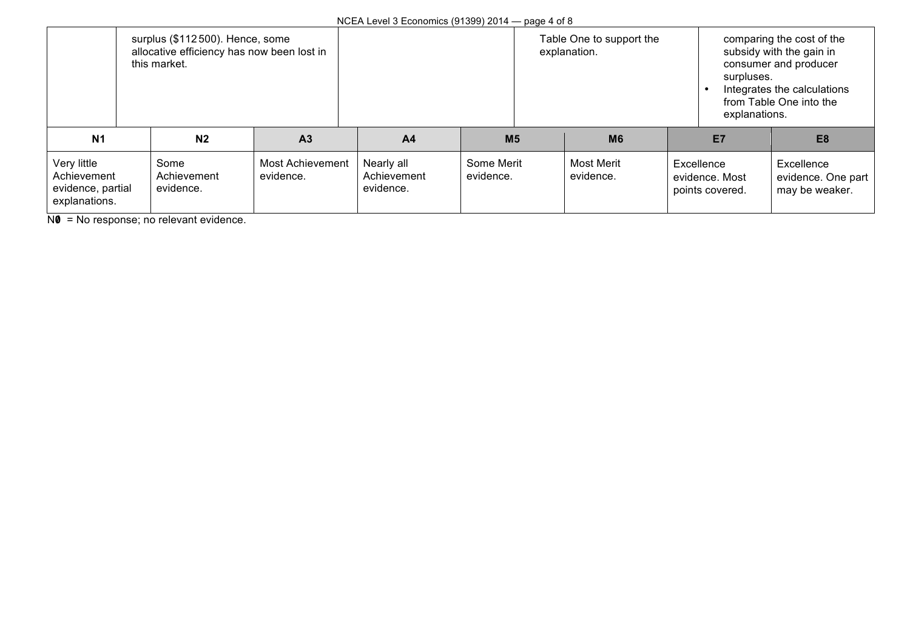| surplus (\$112500). Hence, some<br>allocative efficiency has now been lost in<br>this market. |                                  |                                      |                                        |                         | Table One to support the<br>explanation. |                                |  | comparing the cost of the<br>subsidy with the gain in<br>consumer and producer<br>surpluses.<br>Integrates the calculations<br>from Table One into the<br>explanations. |                                                    |
|-----------------------------------------------------------------------------------------------|----------------------------------|--------------------------------------|----------------------------------------|-------------------------|------------------------------------------|--------------------------------|--|-------------------------------------------------------------------------------------------------------------------------------------------------------------------------|----------------------------------------------------|
| N <sub>1</sub>                                                                                | N <sub>2</sub>                   | A <sub>3</sub>                       | A <sub>4</sub>                         | M <sub>5</sub>          |                                          | <b>M6</b>                      |  | E7                                                                                                                                                                      | E <sub>8</sub>                                     |
| Very little<br>Achievement<br>evidence, partial<br>explanations.                              | Some<br>Achievement<br>evidence. | <b>Most Achievement</b><br>evidence. | Nearly all<br>Achievement<br>evidence. | Some Merit<br>evidence. |                                          | <b>Most Merit</b><br>evidence. |  | Excellence<br>evidence, Most<br>points covered.                                                                                                                         | Excellence<br>evidence. One part<br>may be weaker. |

NO = No response; no relevant evidence.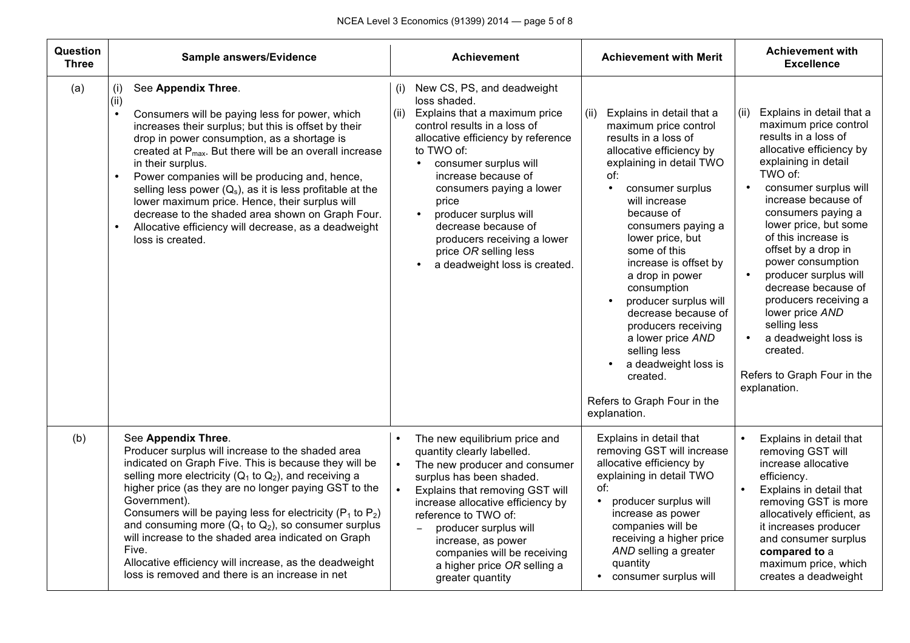| Question<br><b>Three</b> | Sample answers/Evidence                                                                                                                                                                                                                                                                                                                                                                                                                                                                                                                                                                          | <b>Achievement</b>                                                                                                                                                                                                                                                                                                                                                                                                        | <b>Achievement with Merit</b>                                                                                                                                                                                                                                                                                                                                                                                                                                                                                                         | <b>Achievement with</b><br><b>Excellence</b>                                                                                                                                                                                                                                                                                                                                                                                                                                                                                                 |
|--------------------------|--------------------------------------------------------------------------------------------------------------------------------------------------------------------------------------------------------------------------------------------------------------------------------------------------------------------------------------------------------------------------------------------------------------------------------------------------------------------------------------------------------------------------------------------------------------------------------------------------|---------------------------------------------------------------------------------------------------------------------------------------------------------------------------------------------------------------------------------------------------------------------------------------------------------------------------------------------------------------------------------------------------------------------------|---------------------------------------------------------------------------------------------------------------------------------------------------------------------------------------------------------------------------------------------------------------------------------------------------------------------------------------------------------------------------------------------------------------------------------------------------------------------------------------------------------------------------------------|----------------------------------------------------------------------------------------------------------------------------------------------------------------------------------------------------------------------------------------------------------------------------------------------------------------------------------------------------------------------------------------------------------------------------------------------------------------------------------------------------------------------------------------------|
| (a)                      | See Appendix Three.<br>(i)<br>(ii)<br>Consumers will be paying less for power, which<br>$\bullet$<br>increases their surplus; but this is offset by their<br>drop in power consumption, as a shortage is<br>created at $P_{max}$ . But there will be an overall increase<br>in their surplus.<br>Power companies will be producing and, hence,<br>selling less power $(Q_s)$ , as it is less profitable at the<br>lower maximum price. Hence, their surplus will<br>decrease to the shaded area shown on Graph Four.<br>Allocative efficiency will decrease, as a deadweight<br>loss is created. | New CS, PS, and deadweight<br>(i)<br>loss shaded.<br>Explains that a maximum price<br>(ii)<br>control results in a loss of<br>allocative efficiency by reference<br>to TWO of:<br>consumer surplus will<br>$\bullet$<br>increase because of<br>consumers paying a lower<br>price<br>producer surplus will<br>decrease because of<br>producers receiving a lower<br>price OR selling less<br>a deadweight loss is created. | Explains in detail that a<br>(ii)<br>maximum price control<br>results in a loss of<br>allocative efficiency by<br>explaining in detail TWO<br>of:<br>consumer surplus<br>$\bullet$<br>will increase<br>because of<br>consumers paying a<br>lower price, but<br>some of this<br>increase is offset by<br>a drop in power<br>consumption<br>producer surplus will<br>decrease because of<br>producers receiving<br>a lower price AND<br>selling less<br>a deadweight loss is<br>created.<br>Refers to Graph Four in the<br>explanation. | Explains in detail that a<br>(ii)<br>maximum price control<br>results in a loss of<br>allocative efficiency by<br>explaining in detail<br>TWO of:<br>consumer surplus will<br>$\bullet$<br>increase because of<br>consumers paying a<br>lower price, but some<br>of this increase is<br>offset by a drop in<br>power consumption<br>producer surplus will<br>$\bullet$<br>decrease because of<br>producers receiving a<br>lower price AND<br>selling less<br>a deadweight loss is<br>created.<br>Refers to Graph Four in the<br>explanation. |
| (b)                      | See Appendix Three.<br>Producer surplus will increase to the shaded area<br>indicated on Graph Five. This is because they will be<br>selling more electricity ( $Q_1$ to $Q_2$ ), and receiving a<br>higher price (as they are no longer paying GST to the<br>Government).<br>Consumers will be paying less for electricity ( $P_1$ to $P_2$ )<br>and consuming more $(Q_1$ to $Q_2$ ), so consumer surplus<br>will increase to the shaded area indicated on Graph<br>Five.<br>Allocative efficiency will increase, as the deadweight<br>loss is removed and there is an increase in net         | The new equilibrium price and<br>$\bullet$<br>quantity clearly labelled.<br>The new producer and consumer<br>surplus has been shaded.<br>Explains that removing GST will<br>increase allocative efficiency by<br>reference to TWO of:<br>producer surplus will<br>$\equiv$<br>increase, as power<br>companies will be receiving<br>a higher price OR selling a<br>greater quantity                                        | Explains in detail that<br>removing GST will increase<br>allocative efficiency by<br>explaining in detail TWO<br>of:<br>producer surplus will<br>$\bullet$<br>increase as power<br>companies will be<br>receiving a higher price<br>AND selling a greater<br>quantity<br>consumer surplus will                                                                                                                                                                                                                                        | $\bullet$<br>Explains in detail that<br>removing GST will<br>increase allocative<br>efficiency.<br>Explains in detail that<br>$\bullet$<br>removing GST is more<br>allocatively efficient, as<br>it increases producer<br>and consumer surplus<br>compared to a<br>maximum price, which<br>creates a deadweight                                                                                                                                                                                                                              |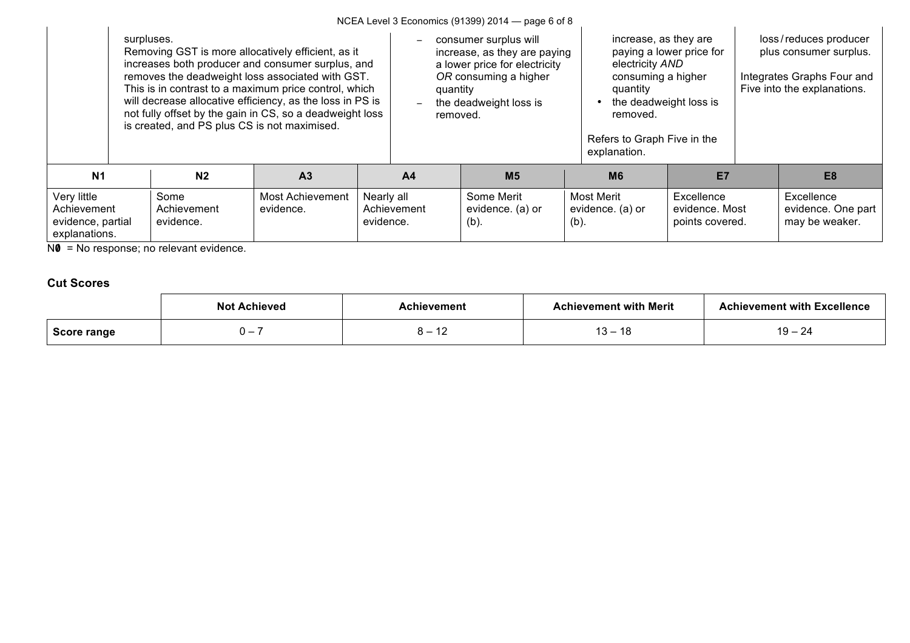NCEA Level 3 Economics (91399) 2014 — page 6 of 8

|                                                                  | surpluses. | is created, and PS plus CS is not maximised. | Removing GST is more allocatively efficient, as it<br>increases both producer and consumer surplus, and<br>removes the deadweight loss associated with GST.<br>This is in contrast to a maximum price control, which<br>will decrease allocative efficiency, as the loss in PS is<br>not fully offset by the gain in CS, so a deadweight loss |                         | consumer surplus will<br>increase, as they are paying<br>a lower price for electricity<br>OR consuming a higher<br>quantity<br>the deadweight loss is<br>removed. |                                           |         | increase, as they are<br>electricity AND<br>consuming a higher<br>quantity<br>the deadweight loss is<br>removed.<br>Refers to Graph Five in the<br>explanation. | paying a lower price for                        | loss/reduces producer<br>plus consumer surplus.<br>Integrates Graphs Four and<br>Five into the explanations. |                                                    |
|------------------------------------------------------------------|------------|----------------------------------------------|-----------------------------------------------------------------------------------------------------------------------------------------------------------------------------------------------------------------------------------------------------------------------------------------------------------------------------------------------|-------------------------|-------------------------------------------------------------------------------------------------------------------------------------------------------------------|-------------------------------------------|---------|-----------------------------------------------------------------------------------------------------------------------------------------------------------------|-------------------------------------------------|--------------------------------------------------------------------------------------------------------------|----------------------------------------------------|
| N <sub>1</sub>                                                   |            | N <sub>2</sub>                               | A <sub>3</sub>                                                                                                                                                                                                                                                                                                                                |                         | A <sub>4</sub>                                                                                                                                                    | M <sub>5</sub>                            |         | M <sub>6</sub>                                                                                                                                                  | E7                                              |                                                                                                              | E <sub>8</sub>                                     |
| Very little<br>Achievement<br>evidence, partial<br>explanations. |            | Some<br>Achievement<br>evidence.             | Most Achievement<br>evidence.                                                                                                                                                                                                                                                                                                                 | Nearly all<br>evidence. | Achievement                                                                                                                                                       | Some Merit<br>evidence. (a) or<br>$(b)$ . | $(b)$ . | Most Merit<br>evidence. (a) or                                                                                                                                  | Excellence<br>evidence, Most<br>points covered. |                                                                                                              | Excellence<br>evidence. One part<br>may be weaker. |

NO = No response; no relevant evidence.

### **Cut Scores**

|             | <b>Not Achieved</b> | Achievement | <b>Achievement with Merit</b> | <b>Achievement with Excellence</b> |
|-------------|---------------------|-------------|-------------------------------|------------------------------------|
| Score range |                     | ╹           | 1 C<br>.ა —<br>10             | $19 - 24$                          |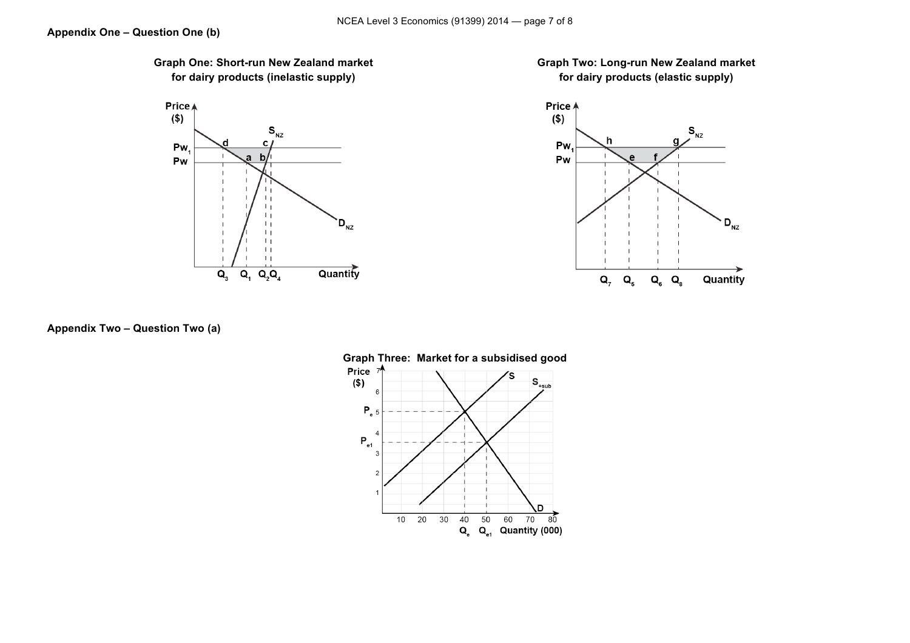







**Appendix Two – Question Two (a)**